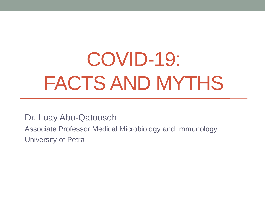# COVID-19: FACTS AND MYTHS

Dr. Luay Abu-Qatouseh

Associate Professor Medical Microbiology and Immunology University of Petra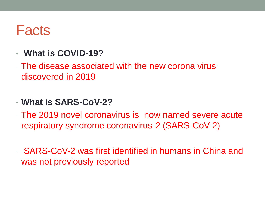### **Facts**

- **What is COVID-19?**
- The disease associated with the new corona virus discovered in 2019
- **What is SARS-CoV-2?**
- The 2019 novel coronavirus is now named severe acute respiratory syndrome coronavirus-2 (SARS-CoV-2)
- SARS-CoV-2 was first identified in humans in China and was not previously reported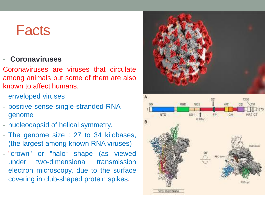### **Facts**

### • **Coronaviruses**

Coronaviruses are viruses that circulate among animals but some of them are also known to affect humans.

- enveloped viruses
- positive-sense-single-stranded-RNA genome
- nucleocapsid of helical symmetry.
- The genome size : 27 to 34 kilobases, (the largest among known RNA viruses)
- "crown" or "halo" shape (as viewed under two-dimensional transmission electron microscopy, due to the surface covering in club-shaped protein spikes.



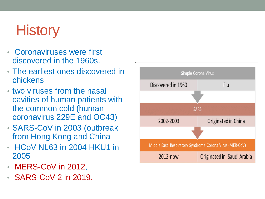# **History**

- Coronaviruses were first discovered in the 1960s.
- The earliest ones discovered in chickens
- two viruses from the nasal cavities of human patients with the common cold (human coronavirus 229E and OC43)
- SARS-CoV in 2003 (outbreak from Hong Kong and China
- HCoV NL63 in 2004 HKU1 in 2005
- MERS-CoV in 2012,
- SARS-CoV-2 in 2019.

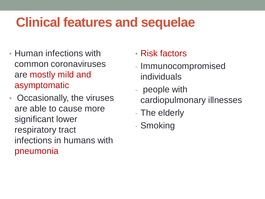### **Clinical features and sequelae**

- Human infections with common coronaviruses are mostly mild and asymptomatic
- Occasionally, the viruses are able to cause more significant lower respiratory tract infections in humans with pneumonia
- Risk factors
- Immunocompromised individuals
- people with cardiopulmonary illnesses
- The elderly
- Smoking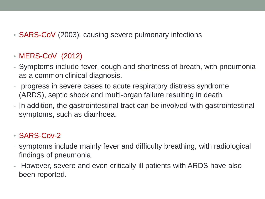• **SARS-CoV** (2003): causing severe pulmonary infections

### • MERS-CoV (2012)

- Symptoms include fever, cough and shortness of breath, with pneumonia as a common clinical diagnosis.
- progress in severe cases to acute respiratory distress syndrome (ARDS), septic shock and multi-organ failure resulting in death.
- In addition, the gastrointestinal tract can be involved with gastrointestinal symptoms, such as diarrhoea.

### • SARS-Cov-2

- symptoms include mainly fever and difficulty breathing, with radiological findings of pneumonia
- However, severe and even critically ill patients with ARDS have also been reported.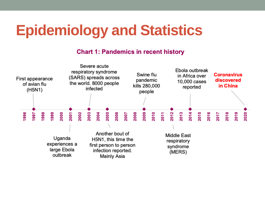# **Epidemiology and Statistics**

#### **Chart 1: Pandemics in recent history**

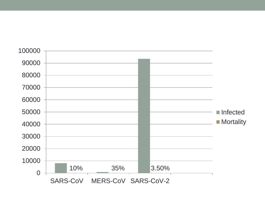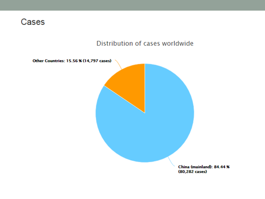### Cases

#### Distribution of cases worldwide

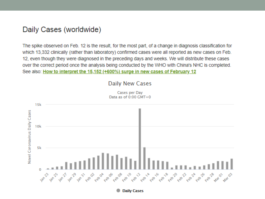#### Daily Cases (worldwide)

The spike observed on Feb. 12 is the result, for the most part, of a change in diagnosis classification for which 13,332 clinically (rather than laboratory) confirmed cases were all reported as new cases on Feb. 12, even though they were diagnosed in the preceding days and weeks. We will distribute these cases over the correct period once the analysis being conducted by the WHO with China's NHC is completed. See also: How to interpret the 15,152 (+600%) surge in new cases of February 12

#### Daily New Cases

Cases per Day Data as of 0:00 GMT+0

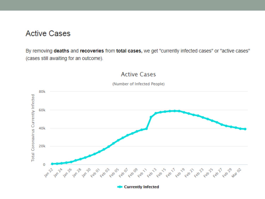#### **Active Cases**

By removing deaths and recoveries from total cases, we get "currently infected cases" or "active cases" (cases still awaiting for an outcome).

#### **Active Cases**



(Number of Infected People)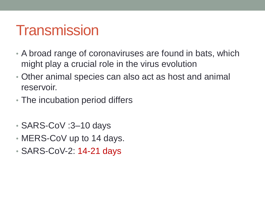### **Transmission**

- A broad range of coronaviruses are found in bats, which might play a crucial role in the virus evolution
- Other animal species can also act as host and animal reservoir.
- The incubation period differs
- SARS-CoV :3–10 days
- MERS-CoV up to 14 days.
- SARS-CoV-2: 14-21 days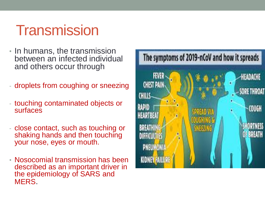## **Transmission**

- In humans, the transmission between an infected individual and others occur through
- droplets from coughing or sneezing
- touching contaminated objects or surfaces
- close contact, such as touching or shaking hands and then touching your nose, eyes or mouth.
- Nosocomial transmission has been described as an important driver in the epidemiology of SARS and MERS.

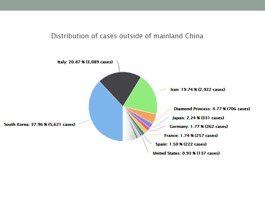#### Distribution of cases outside of mainland China

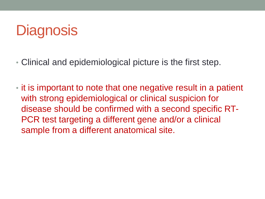# **Diagnosis**

- Clinical and epidemiological picture is the first step.
- it is important to note that one negative result in a patient with strong epidemiological or clinical suspicion for disease should be confirmed with a second specific RT-PCR test targeting a different gene and/or a clinical sample from a different anatomical site.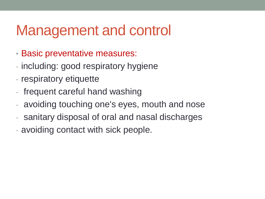## Management and control

- Basic preventative measures:
- including: good respiratory hygiene
- respiratory etiquette
- frequent careful hand washing
- avoiding touching one's eyes, mouth and nose
- sanitary disposal of oral and nasal discharges
- avoiding contact with sick people.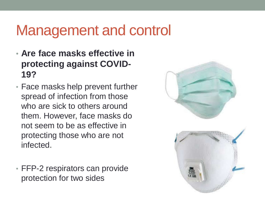## Management and control

- **Are face masks effective in protecting against COVID-19?**
- Face masks help prevent further spread of infection from those who are sick to others around them. However, face masks do not seem to be as effective in protecting those who are not infected.
- FFP-2 respirators can provide protection for two sides

![](_page_16_Picture_4.jpeg)

![](_page_16_Picture_5.jpeg)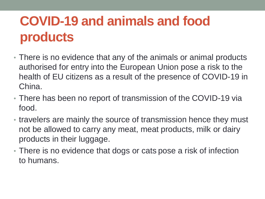### **COVID-19 and animals and food products**

- There is no evidence that any of the animals or animal products authorised for entry into the European Union pose a risk to the health of EU citizens as a result of the presence of COVID-19 in China.
- There has been no report of transmission of the COVID-19 via food.
- travelers are mainly the source of transmission hence they must not be allowed to carry any meat, meat products, milk or dairy products in their luggage.
- There is no evidence that dogs or cats pose a risk of infection to humans.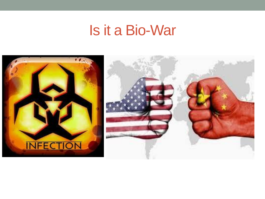### Is it a Bio-War

![](_page_18_Picture_1.jpeg)